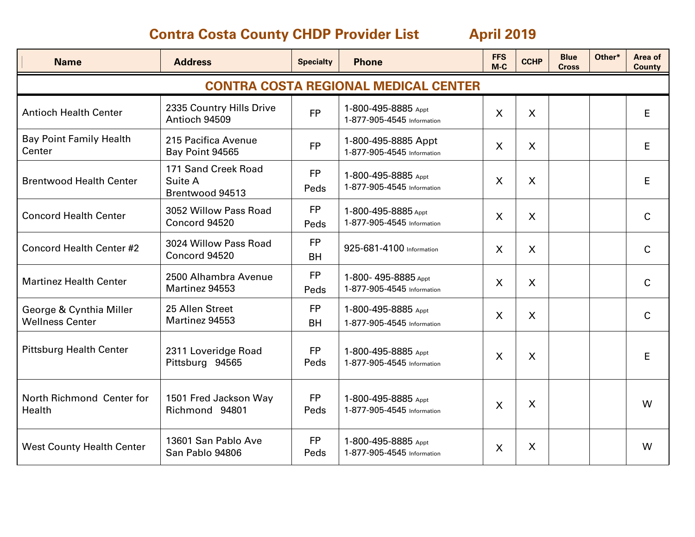| <b>Name</b>                                       | <b>Address</b>                                    | <b>Specialty</b>       | <b>Phone</b>                                      | <b>FFS</b><br>$M-C$ | <b>CCHP</b>  | <b>Blue</b><br><b>Cross</b> | Other* | Area of<br><b>County</b> |  |  |
|---------------------------------------------------|---------------------------------------------------|------------------------|---------------------------------------------------|---------------------|--------------|-----------------------------|--------|--------------------------|--|--|
| <b>CONTRA COSTA REGIONAL MEDICAL CENTER</b>       |                                                   |                        |                                                   |                     |              |                             |        |                          |  |  |
| <b>Antioch Health Center</b>                      | 2335 Country Hills Drive<br>Antioch 94509         | <b>FP</b>              | 1-800-495-8885 Appt<br>1-877-905-4545 Information | $\mathsf{X}$        | $\mathsf{X}$ |                             |        | E                        |  |  |
| <b>Bay Point Family Health</b><br>Center          | 215 Pacifica Avenue<br>Bay Point 94565            | <b>FP</b>              | 1-800-495-8885 Appt<br>1-877-905-4545 Information | $\mathsf{X}$        | $\mathsf{X}$ |                             |        | E                        |  |  |
| <b>Brentwood Health Center</b>                    | 171 Sand Creek Road<br>Suite A<br>Brentwood 94513 | <b>FP</b><br>Peds      | 1-800-495-8885 Appt<br>1-877-905-4545 Information | $\sf X$             | $\mathsf{X}$ |                             |        | E                        |  |  |
| <b>Concord Health Center</b>                      | 3052 Willow Pass Road<br>Concord 94520            | <b>FP</b><br>Peds      | 1-800-495-8885 Appt<br>1-877-905-4545 Information | X                   | X            |                             |        | $\mathsf{C}$             |  |  |
| <b>Concord Health Center #2</b>                   | 3024 Willow Pass Road<br>Concord 94520            | <b>FP</b><br><b>BH</b> | 925-681-4100 Information                          | $\sf X$             | $\mathsf{X}$ |                             |        | $\mathsf{C}$             |  |  |
| <b>Martinez Health Center</b>                     | 2500 Alhambra Avenue<br>Martinez 94553            | <b>FP</b><br>Peds      | 1-800-495-8885 Appt<br>1-877-905-4545 Information | $\sf X$             | $\mathsf{X}$ |                             |        | $\mathsf{C}$             |  |  |
| George & Cynthia Miller<br><b>Wellness Center</b> | 25 Allen Street<br>Martinez 94553                 | <b>FP</b><br><b>BH</b> | 1-800-495-8885 Appt<br>1-877-905-4545 Information | $\mathsf{X}$        | X            |                             |        | $\mathsf{C}$             |  |  |
| <b>Pittsburg Health Center</b>                    | 2311 Loveridge Road<br>Pittsburg 94565            | <b>FP</b><br>Peds      | 1-800-495-8885 Appt<br>1-877-905-4545 Information | $\mathsf{X}$        | X            |                             |        | E                        |  |  |
| North Richmond Center for<br>Health               | 1501 Fred Jackson Way<br>Richmond 94801           | <b>FP</b><br>Peds      | 1-800-495-8885 Appt<br>1-877-905-4545 Information | $\sf X$             | X            |                             |        | W                        |  |  |
| <b>West County Health Center</b>                  | 13601 San Pablo Ave<br>San Pablo 94806            | <b>FP</b><br>Peds      | 1-800-495-8885 Appt<br>1-877-905-4545 Information | X                   | X            |                             |        | W                        |  |  |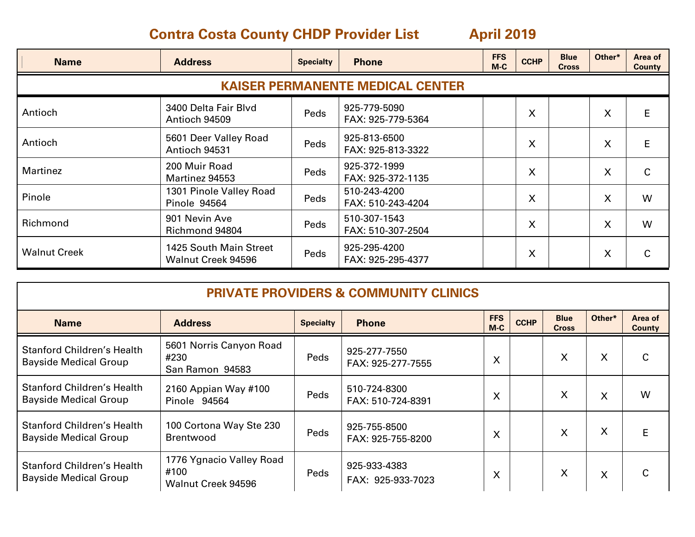| <b>Name</b>                             | <b>Address</b>                                 | <b>Specialty</b> | <b>Phone</b>                      | <b>FFS</b><br>$M-C$ | <b>CCHP</b> | <b>Blue</b><br><b>Cross</b> | Other* | Area of<br><b>County</b> |  |  |
|-----------------------------------------|------------------------------------------------|------------------|-----------------------------------|---------------------|-------------|-----------------------------|--------|--------------------------|--|--|
| <b>KAISER PERMANENTE MEDICAL CENTER</b> |                                                |                  |                                   |                     |             |                             |        |                          |  |  |
| Antioch                                 | 3400 Delta Fair Blvd<br>Antioch 94509          | Peds             | 925-779-5090<br>FAX: 925-779-5364 |                     | X           |                             | X      | E                        |  |  |
| Antioch                                 | 5601 Deer Valley Road<br>Antioch 94531         | Peds             | 925-813-6500<br>FAX: 925-813-3322 |                     | X           |                             | X      | E                        |  |  |
| Martinez                                | 200 Muir Road<br>Martinez 94553                | Peds             | 925-372-1999<br>FAX: 925-372-1135 |                     | X           |                             | X      | C                        |  |  |
| Pinole                                  | 1301 Pinole Valley Road<br><b>Pinole 94564</b> | Peds             | 510-243-4200<br>FAX: 510-243-4204 |                     | X           |                             | X      | W                        |  |  |
| Richmond                                | 901 Nevin Ave<br>Richmond 94804                | Peds             | 510-307-1543<br>FAX: 510-307-2504 |                     | X           |                             | X      | W                        |  |  |
| <b>Walnut Creek</b>                     | 1425 South Main Street<br>Walnut Creek 94596   | Peds             | 925-295-4200<br>FAX: 925-295-4377 |                     | $\times$    |                             | X      | C                        |  |  |

| <b>PRIVATE PROVIDERS &amp; COMMUNITY CLINICS</b>                  |                                                        |                  |                                   |                     |             |                             |                           |                          |  |
|-------------------------------------------------------------------|--------------------------------------------------------|------------------|-----------------------------------|---------------------|-------------|-----------------------------|---------------------------|--------------------------|--|
| <b>Name</b>                                                       | <b>Address</b>                                         | <b>Specialty</b> | <b>Phone</b>                      | <b>FFS</b><br>$M-C$ | <b>CCHP</b> | <b>Blue</b><br><b>Cross</b> | Other*                    | Area of<br><b>County</b> |  |
| <b>Stanford Children's Health</b><br><b>Bayside Medical Group</b> | 5601 Norris Canyon Road<br>#230<br>San Ramon 94583     | Peds             | 925-277-7550<br>FAX: 925-277-7555 | X                   |             | X                           | $\mathsf{X}$              | С                        |  |
| <b>Stanford Children's Health</b><br><b>Bayside Medical Group</b> | 2160 Appian Way #100<br>Pinole 94564                   | Peds             | 510-724-8300<br>FAX: 510-724-8391 | X                   |             | X                           | X                         | W                        |  |
| <b>Stanford Children's Health</b><br><b>Bayside Medical Group</b> | 100 Cortona Way Ste 230<br><b>Brentwood</b>            | Peds             | 925-755-8500<br>FAX: 925-755-8200 | X                   |             | X                           | $\sf X$                   | E                        |  |
| <b>Stanford Children's Health</b><br><b>Bayside Medical Group</b> | 1776 Ygnacio Valley Road<br>#100<br>Walnut Creek 94596 | Peds             | 925-933-4383<br>FAX: 925-933-7023 | X                   |             | X                           | $\boldsymbol{\mathsf{X}}$ | С                        |  |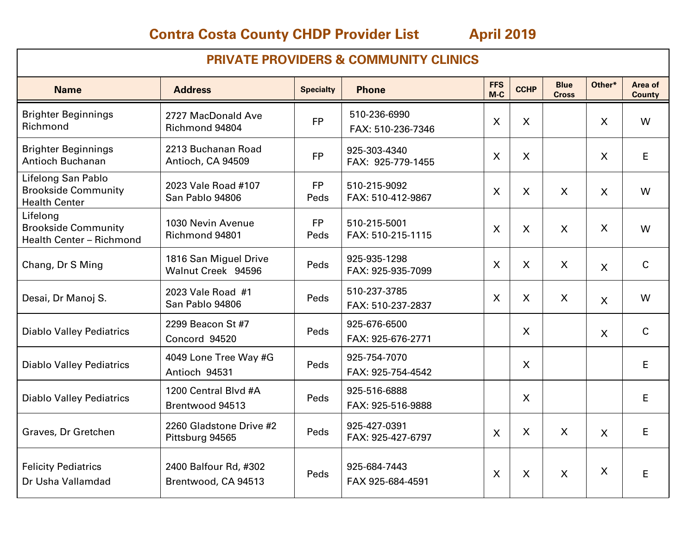| <b>PRIVATE PROVIDERS &amp; COMMUNITY CLINICS</b>                          |                                              |                   |                                   |                           |              |                             |                           |                          |  |
|---------------------------------------------------------------------------|----------------------------------------------|-------------------|-----------------------------------|---------------------------|--------------|-----------------------------|---------------------------|--------------------------|--|
| <b>Name</b>                                                               | <b>Address</b>                               | <b>Specialty</b>  | <b>Phone</b>                      | <b>FFS</b><br>M-C         | <b>CCHP</b>  | <b>Blue</b><br><b>Cross</b> | Other*                    | Area of<br><b>County</b> |  |
| <b>Brighter Beginnings</b><br>Richmond                                    | 2727 MacDonald Ave<br>Richmond 94804         | <b>FP</b>         | 510-236-6990<br>FAX: 510-236-7346 | $\boldsymbol{\mathsf{X}}$ | X            |                             | $\mathsf{X}$              | W                        |  |
| <b>Brighter Beginnings</b><br><b>Antioch Buchanan</b>                     | 2213 Buchanan Road<br>Antioch, CA 94509      | <b>FP</b>         | 925-303-4340<br>FAX: 925-779-1455 | $\boldsymbol{\mathsf{X}}$ | X            |                             | $\boldsymbol{\mathsf{X}}$ | E                        |  |
| Lifelong San Pablo<br><b>Brookside Community</b><br><b>Health Center</b>  | 2023 Vale Road #107<br>San Pablo 94806       | <b>FP</b><br>Peds | 510-215-9092<br>FAX: 510-412-9867 | $\overline{\mathsf{X}}$   | X            | $\sf X$                     | $\boldsymbol{\mathsf{X}}$ | W                        |  |
| Lifelong<br><b>Brookside Community</b><br><b>Health Center - Richmond</b> | 1030 Nevin Avenue<br>Richmond 94801          | <b>FP</b><br>Peds | 510-215-5001<br>FAX: 510-215-1115 | $\boldsymbol{\mathsf{X}}$ | $\mathsf{X}$ | $\mathsf{X}$                | $\sf X$                   | W                        |  |
| Chang, Dr S Ming                                                          | 1816 San Miguel Drive<br>Walnut Creek 94596  | Peds              | 925-935-1298<br>FAX: 925-935-7099 | $\sf X$                   | $\mathsf{X}$ | $\sf X$                     | $\mathsf{X}$              | $\mathsf{C}$             |  |
| Desai, Dr Manoj S.                                                        | 2023 Vale Road #1<br>San Pablo 94806         | Peds              | 510-237-3785<br>FAX: 510-237-2837 | $\boldsymbol{X}$          | X            | X                           | $\mathsf{X}$              | W                        |  |
| <b>Diablo Valley Pediatrics</b>                                           | 2299 Beacon St #7<br>Concord 94520           | Peds              | 925-676-6500<br>FAX: 925-676-2771 |                           | $\mathsf{X}$ |                             | $\mathsf{X}$              | $\mathsf{C}$             |  |
| <b>Diablo Valley Pediatrics</b>                                           | 4049 Lone Tree Way #G<br>Antioch 94531       | Peds              | 925-754-7070<br>FAX: 925-754-4542 |                           | X            |                             |                           | E                        |  |
| <b>Diablo Valley Pediatrics</b>                                           | 1200 Central Blvd #A<br>Brentwood 94513      | Peds              | 925-516-6888<br>FAX: 925-516-9888 |                           | $\mathsf{X}$ |                             |                           | E.                       |  |
| Graves, Dr Gretchen                                                       | 2260 Gladstone Drive #2<br>Pittsburg 94565   | Peds              | 925-427-0391<br>FAX: 925-427-6797 | $\mathsf{X}$              | X            | X                           | $\mathsf{X}$              | E                        |  |
| <b>Felicity Pediatrics</b><br>Dr Usha Vallamdad                           | 2400 Balfour Rd, #302<br>Brentwood, CA 94513 | Peds              | 925-684-7443<br>FAX 925-684-4591  | $\boldsymbol{\mathsf{X}}$ | $\sf X$      | $\mathsf{X}$                | X                         | E                        |  |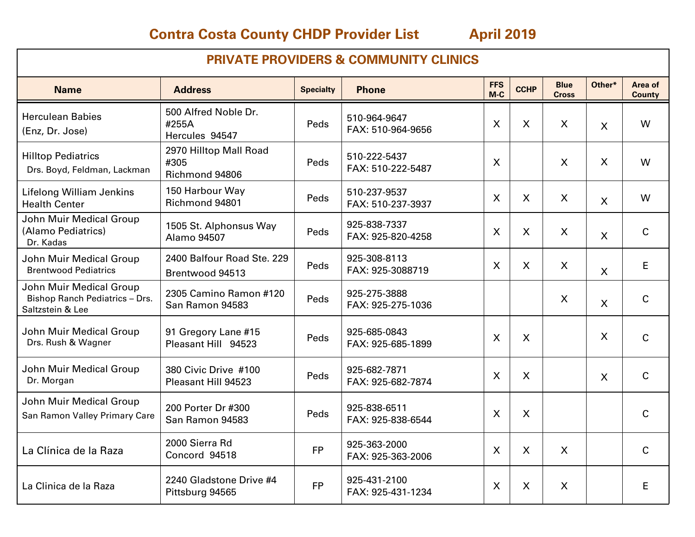| <b>PRIVATE PROVIDERS &amp; COMMUNITY CLINICS</b>                                     |                                                  |                  |                                   |                           |                           |                             |                         |                          |  |
|--------------------------------------------------------------------------------------|--------------------------------------------------|------------------|-----------------------------------|---------------------------|---------------------------|-----------------------------|-------------------------|--------------------------|--|
| <b>Name</b>                                                                          | <b>Address</b>                                   | <b>Specialty</b> | <b>Phone</b>                      | <b>FFS</b><br>$M-C$       | <b>CCHP</b>               | <b>Blue</b><br><b>Cross</b> | Other*                  | Area of<br><b>County</b> |  |
| <b>Herculean Babies</b><br>(Enz, Dr. Jose)                                           | 500 Alfred Noble Dr.<br>#255A<br>Hercules 94547  | Peds             | 510-964-9647<br>FAX: 510-964-9656 | $\sf X$                   | $\mathsf{X}$              | $\sf X$                     | $\sf X$                 | W                        |  |
| <b>Hilltop Pediatrics</b><br>Drs. Boyd, Feldman, Lackman                             | 2970 Hilltop Mall Road<br>#305<br>Richmond 94806 | Peds             | 510-222-5437<br>FAX: 510-222-5487 | $\boldsymbol{\mathsf{X}}$ |                           | $\boldsymbol{\mathsf{X}}$   | $\sf X$                 | W                        |  |
| <b>Lifelong William Jenkins</b><br><b>Health Center</b>                              | 150 Harbour Way<br>Richmond 94801                | Peds             | 510-237-9537<br>FAX: 510-237-3937 | $\sf X$                   | $\mathsf{X}$              | $\sf X$                     | $\mathsf{X}$            | W                        |  |
| John Muir Medical Group<br>(Alamo Pediatrics)<br>Dr. Kadas                           | 1505 St. Alphonsus Way<br>Alamo 94507            | Peds             | 925-838-7337<br>FAX: 925-820-4258 | $\boldsymbol{\mathsf{X}}$ | X                         | $\mathsf{X}$                | $\overline{\mathsf{X}}$ | $\mathsf C$              |  |
| John Muir Medical Group<br><b>Brentwood Pediatrics</b>                               | 2400 Balfour Road Ste, 229<br>Brentwood 94513    | Peds             | 925-308-8113<br>FAX: 925-3088719  | $\sf X$                   | X                         | $\sf X$                     | X                       | E                        |  |
| John Muir Medical Group<br><b>Bishop Ranch Pediatrics - Drs.</b><br>Saltzstein & Lee | 2305 Camino Ramon #120<br>San Ramon 94583        | Peds             | 925-275-3888<br>FAX: 925-275-1036 |                           |                           | X                           | $\mathsf{X}$            | $\mathsf{C}$             |  |
| John Muir Medical Group<br>Drs. Rush & Wagner                                        | 91 Gregory Lane #15<br>Pleasant Hill 94523       | Peds             | 925-685-0843<br>FAX: 925-685-1899 | $\boldsymbol{\mathsf{X}}$ | X                         |                             | $\sf X$                 | $\mathsf{C}$             |  |
| John Muir Medical Group<br>Dr. Morgan                                                | 380 Civic Drive #100<br>Pleasant Hill 94523      | Peds             | 925-682-7871<br>FAX: 925-682-7874 | $\boldsymbol{\mathsf{X}}$ | X                         |                             | $\mathsf{X}$            | $\mathsf{C}$             |  |
| John Muir Medical Group<br>San Ramon Valley Primary Care                             | 200 Porter Dr #300<br>San Ramon 94583            | Peds             | 925-838-6511<br>FAX: 925-838-6544 | $\boldsymbol{\mathsf{X}}$ | $\mathsf{X}$              |                             |                         | $\mathsf{C}$             |  |
| La Clínica de la Raza                                                                | 2000 Sierra Rd<br>Concord 94518                  | <b>FP</b>        | 925-363-2000<br>FAX: 925-363-2006 | $\boldsymbol{\mathsf{X}}$ | $\boldsymbol{\mathsf{X}}$ | $\mathsf{X}$                |                         | $\mathsf{C}$             |  |
| La Clinica de la Raza                                                                | 2240 Gladstone Drive #4<br>Pittsburg 94565       | <b>FP</b>        | 925-431-2100<br>FAX: 925-431-1234 | X                         | X                         | X                           |                         | E                        |  |